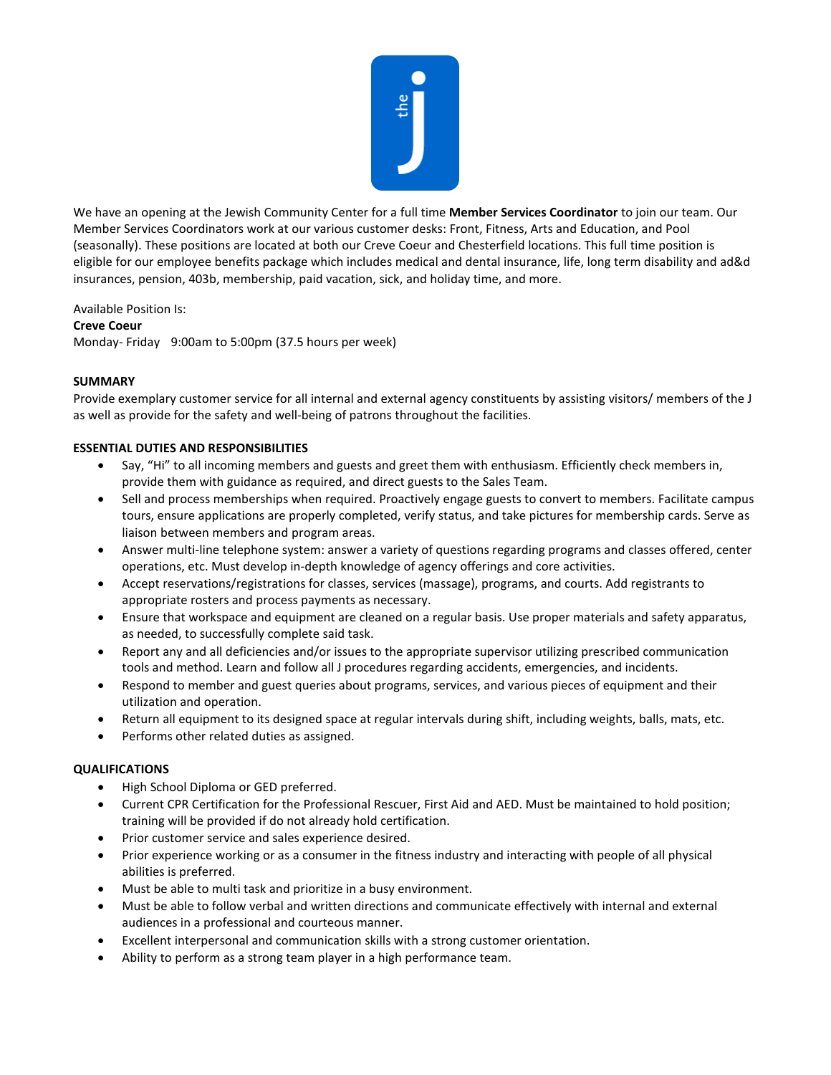

We have an opening at the Jewish Community Center for a full time **Member Services Coordinator** to join our team. Our Member Services Coordinators work at our various customer desks: Front, Fitness, Arts and Education, and Pool (seasonally). These positions are located at both our Creve Coeur and Chesterfield locations. This full time position is eligible for our employee benefits package which includes medical and dental insurance, life, long term disability and ad&d insurances, pension, 403b, membership, paid vacation, sick, and holiday time, and more.

Available Position Is:

## **Creve Coeur**

Monday- Friday 9:00am to 5:00pm (37.5 hours per week)

## **SUMMARY**

Provide exemplary customer service for all internal and external agency constituents by assisting visitors/ members of the J as well as provide for the safety and well-being of patrons throughout the facilities.

## **ESSENTIAL DUTIES AND RESPONSIBILITIES**

- Say, "Hi" to all incoming members and guests and greet them with enthusiasm. Efficiently check members in, provide them with guidance as required, and direct guests to the Sales Team.
- Sell and process memberships when required. Proactively engage guests to convert to members. Facilitate campus tours, ensure applications are properly completed, verify status, and take pictures for membership cards. Serve as liaison between members and program areas.
- Answer multi-line telephone system: answer a variety of questions regarding programs and classes offered, center operations, etc. Must develop in-depth knowledge of agency offerings and core activities.
- Accept reservations/registrations for classes, services (massage), programs, and courts. Add registrants to appropriate rosters and process payments as necessary.
- Ensure that workspace and equipment are cleaned on a regular basis. Use proper materials and safety apparatus, as needed, to successfully complete said task.
- Report any and all deficiencies and/or issues to the appropriate supervisor utilizing prescribed communication tools and method. Learn and follow all J procedures regarding accidents, emergencies, and incidents.
- Respond to member and guest queries about programs, services, and various pieces of equipment and their utilization and operation.
- Return all equipment to its designed space at regular intervals during shift, including weights, balls, mats, etc.
- Performs other related duties as assigned.

## **QUALIFICATIONS**

- High School Diploma or GED preferred.
- Current CPR Certification for the Professional Rescuer, First Aid and AED. Must be maintained to hold position; training will be provided if do not already hold certification.
- Prior customer service and sales experience desired.
- Prior experience working or as a consumer in the fitness industry and interacting with people of all physical abilities is preferred.
- Must be able to multi task and prioritize in a busy environment.
- Must be able to follow verbal and written directions and communicate effectively with internal and external audiences in a professional and courteous manner.
- Excellent interpersonal and communication skills with a strong customer orientation.
- Ability to perform as a strong team player in a high performance team.